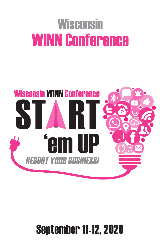# **Wisconsin** WINN Conference



### September 11-12, 2020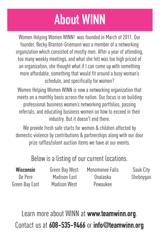## **About WINN**

Women Helping Women WINN! was founded in March of 2011. Our founder, Becky Branton-Griemann was a member of a networking organization which consisted of mostly men. After a year of attending, too many weekly meetings, and what she felt was too high priced of an organization, she thought what if I can come up with something more affordable, something that would fit around a busy woman's schedule, and specifically for women?

Women Helping Women WINN is now a networking organization that meets on a monthly basis across the nation. Our focus is on building professional business women's networking portfolios, passing referrals, and educating business women on how to exceed in their industry. But it doesn't end there.

We provide fresh safe starts for women & children affected by domestic violence by contributions & partnerships along with our door prize raffles/silent auction items we have at our events.

#### Below is a listing of our current locations.

| <b>Wisconsin</b> | Green Bay West      | Menomonee Falls | Sauk City |
|------------------|---------------------|-----------------|-----------|
| De Pere          | Madison East        | Onalaska        | Sheboygan |
| Green Bay East   | <b>Madison West</b> | Pewaukee        |           |

Learn more about WINN at **www.teamwinn.org**. Contact us at **608-535-9466** or **info@teamwinn.org**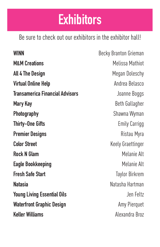### **Exhibitors**

Be sure to check out our exhibitors in the exhibitor hall!

**WINN** Becky Branton Grieman **M&M Creations** Melissa Mathiot **All 4 The Design Megan Doleschy Virtual Online Help Andrea Belasco Andrea Belasco Transamerica Financial Advisors** Joanne Boggs **Mary Kay** Beth Gallagher **Photography** Shawna Wyman **Thirty-One Gifts** Emily Carrigg **Premier Designs Ristau Myra Color Street Color Street Keely Graettinger Rock N Glam** Melanie Alt **Eagle Bookkeeping** Melanie Alt **Fresh Safe Start** Taylor Birkrem **Natasia** Natasha Hartman **Young Living Essential Oils Contract Contract Contract Contract Contract Contract Contract Contract Contract Contract Contract Contract Contract Contract Contract Contract Contract Contract Contract Contract Contract Co Waterfront Graphic Design** Mater**front Graphic Design Keller Williams** Alexandra Broz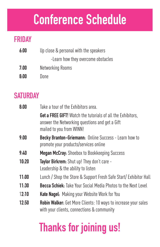### **Conference Schedule**

#### **FRIDAY**

| 6:00 | Up close & personal with the speakers |  |
|------|---------------------------------------|--|
|      | -Learn how they overcome obstacles    |  |
| 7:00 | Networking Rooms                      |  |
| 8:00 | Done                                  |  |

#### **SATURDAY**

| 8:00  | Take a tour of the Exhibitors area.                                                                                                              |
|-------|--------------------------------------------------------------------------------------------------------------------------------------------------|
|       | <b>Get a FREE GIFT!</b> Watch the tutorials of all the Exhibitors,<br>answer the Networking questions and get a Gift<br>mailed to you from WINN! |
| 9:00  | <b>Becky Branton-Griemann:</b> Online Success - Learn how to<br>promote your products/services online                                            |
| 9:40  | <b>Megan McCray:</b> Shoebox to Bookkeeping Success                                                                                              |
| 10:20 | <b>Taylor Birkrem:</b> Shut up! They don't care -<br>Leadership & the ability to listen                                                          |
| 11:00 | Lunch / Shop the Store & Support Fresh Safe Start/ Exhibitor Hall                                                                                |
| 11:30 | <b>Becca Schiek:</b> Take Your Social Media Photos to the Next Level                                                                             |
| 12:10 | Kate Nagel: Making your Website Work for You                                                                                                     |
| 12:50 | <b>Robin Walker:</b> Get More Clients: 10 ways to increase your sales<br>with your clients, connections & community                              |

### **Thanks for joining us!**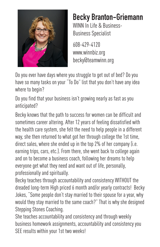

### **Becky Branton-Griemann**

WINN In Life & Business-Business Specialist

608-429-4120 www.winnbiz.org becky@teamwinn.org

Do you ever have days where you struggle to get out of bed? Do you have so many tasks on your "To Do" list that you don't have any idea where to begin?

Do you find that your business isn't growing nearly as fast as you anticipated?

Becky knows that the path to success for women can be difficult and sometimes career altering. After 12 years of feeling dissatisfied with the health care system, she felt the need to help people in a different way, she then returned to what got her through college the 1st time, direct sales, where she ended up in the top 2% of her company (i.e. earning trips, cars, etc.). From there, she went back to college again and on to become a business coach, following her dreams to help everyone get what they need and want out of life, personally, professionally and spiritually.

Becky teaches through accountability and consistency WITHOUT the dreaded long-term High priced 6 month and/or yearly contracts! Becky Jokes, "Some people don't stay married to their spouse for a year, why would they stay married to the same coach?" That is why she designed Stepping Stones Coaching.

She teaches accountability and consistency and through weekly business homework assignments, accountability and consistency you SEE results within your 1st two weeks!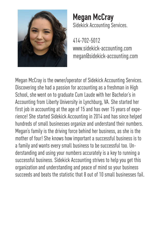

#### **Megan McCray** Sidekick Accounting Services.

414-702-5012 www.sidekick-accounting.com megan@sidekick-accounting.com

Megan McCray is the owner/operator of Sidekick Accounting Services. Discovering she had a passion for accounting as a freshman in High School, she went on to graduate Cum Laude with her Bachelor's in Accounting from Liberty University in Lynchburg, VA. She started her first job in accounting at the age of 15 and has over 15 years of experience! She started Sidekick Accounting in 2014 and has since helped hundreds of small businesses organize and understand their numbers. Megan's family is the driving force behind her business, as she is the mother of four! She knows how important a successful business is to a family and wants every small business to be successful too. Understanding and using your numbers accurately is a key to running a successful business. Sidekick Accounting strives to help you get this organization and understanding and peace of mind so your business succeeds and beats the statistic that 8 out of 10 small businesses fail.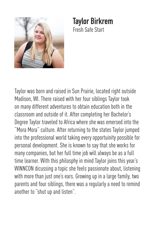

#### **Taylor Birkrem** Fresh Safe Start

Taylor was born and raised in Sun Prairie, located right outside Madison, WI. There raised with her four siblings Taylor took on many different adventures to obtain education both in the classroom and outside of it. After completing her Bachelor's Degree Taylor traveled to Africa where she was emersed into the "Mora Mora" culture. After returning to the states Taylor jumped into the professional world taking every opportuinity possible for personal development. She is known to say that she works for many companies, but her full time job will always be as a full time learner. With this philosphy in mind Taylor joins this year's WINNCON dicussing a topic she feels passionate about, listening with more than just one's ears. Growing up in a large family, two parents and four siblings, there was a regularly a need to remind another to "shut up and listen".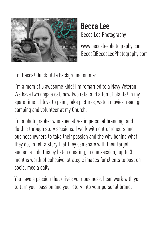

#### **Becca Lee** Becca Lee Photography

www.beccaleephotography.com Becca@BeccaLeePhotography.com

I'm Becca! Quick little background on me:

I'm a mom of 5 awesome kids! I'm remarried to a Navy Veteran. We have two dogs a cat, now two rats, and a ton of plants! In my spare time... I love to paint, take pictures, watch movies, read, go camping and volunteer at my Church.

I'm a photographer who specializes in personal branding, and I do this through story sessions. I work with entrepreneurs and business owners to take their passion and the why behind what they do, to tell a story that they can share with their target audience. I do this by batch creating, in one session, up to 3 months worth of cohesive, strategic images for clients to post on social media daily.

You have a passion that drives your business, I can work with you to turn your passion and your story into your personal brand.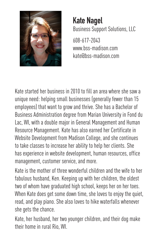

**Kate Nagel** Business Support Solutions, LLC 608-617-2043

www.bss-madison.com kate@bss-madison.com

Kate started her business in 2010 to fill an area where she saw a unique need: helping small businesses (generally fewer than 15 employees) that want to grow and thrive. She has a Bachelor of Business Administration degree from Marian University in Fond du Lac, WI, with a double major in General Management and Human Resource Management. Kate has also earned her Certificate in Website Development from Madison College, and she continues to take classes to increase her ability to help her clients. She has experience in website development, human resources, office management, customer service, and more.

Kate is the mother of three wonderful children and the wife to her fabulous husband, Ken. Keeping up with her children, the oldest two of whom have graduated high school, keeps her on her toes. When Kate does get some down time, she loves to enjoy the quiet, read, and play piano. She also loves to hike waterfalls whenever she gets the chance.

Kate, her husband, her two younger children, and their dog make their home in rural Rio, WI.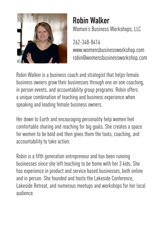

#### **Robin Walker** Women's Business Workshops, LLC

262-348-8414 www.womensbusinessworkshop.com robin@womensbusinessworkshop.com

Robin Walker is a business coach and strategist that helps female business owners grow their businesses through one on one coaching, in person events, and accountability group programs. Robin offers a unique combination of teaching and business experience when speaking and leading female business owners.

Her down to Earth and encouraging personality help women feel comfortable sharing and reaching for big goals. She creates a space for women to be bold and then gives them the tools, coaching, and accountability to take action.

Robin is a fifth generation entrepreneur and has been running businesses since she left teaching to be home with her 3 kids. She has experience in product and service based businesses, both online and in person. She founded and hosts the Lakeside Conference, Lakeside Retreat, and numerous meetups and workshops for her local audience.